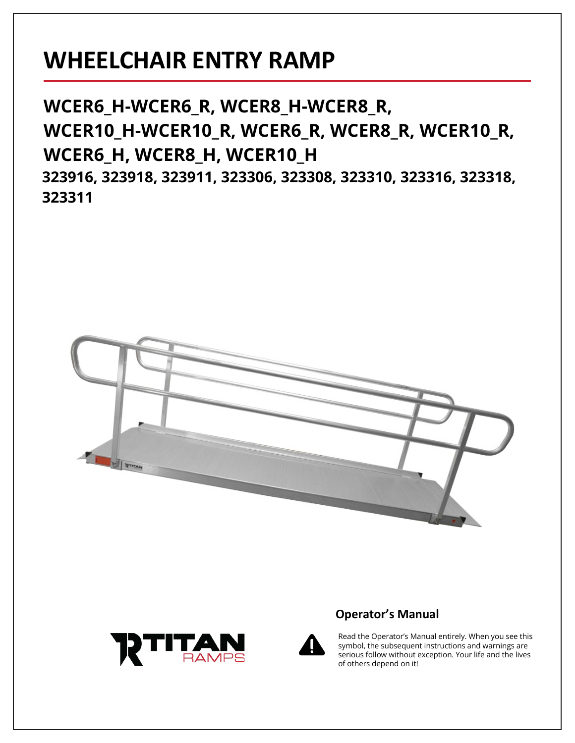# **WHEELCHAIR ENTRY RAMP**

**WCER6\_H-WCER6\_R, WCER8\_H-WCER8\_R, WCER10\_H-WCER10\_R, WCER6\_R, WCER8\_R, WCER10\_R, WCER6\_H, WCER8\_H, WCER10\_H 323916, 323918, 323911, 323306, 323308, 323310, 323316, 323318, 323311**









Read the Operator's Manual entirely. When you see this symbol, the subsequent instructions and warnings are serious follow without exception. Your life and the lives of others depend on it!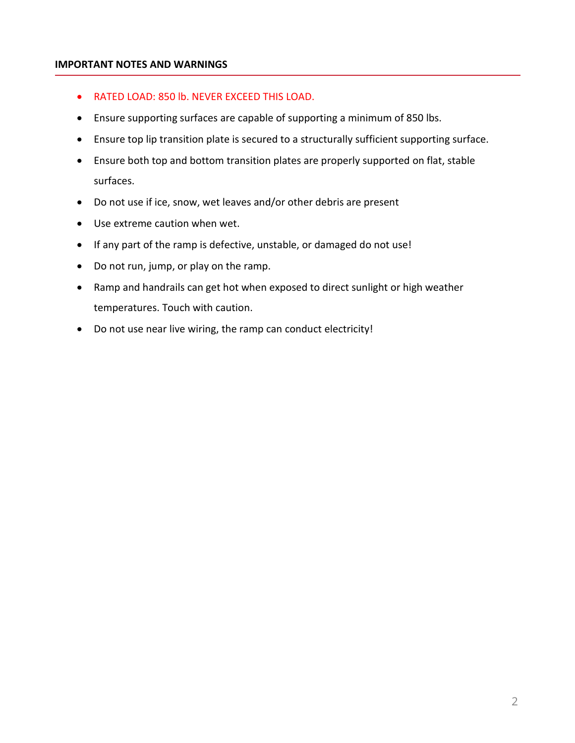#### **IMPORTANT NOTES AND WARNINGS**

- RATED LOAD: 850 lb. NEVER EXCEED THIS LOAD.
- Ensure supporting surfaces are capable of supporting a minimum of 850 lbs.
- Ensure top lip transition plate is secured to a structurally sufficient supporting surface.
- Ensure both top and bottom transition plates are properly supported on flat, stable surfaces.
- Do not use if ice, snow, wet leaves and/or other debris are present
- Use extreme caution when wet.
- If any part of the ramp is defective, unstable, or damaged do not use!
- Do not run, jump, or play on the ramp.
- Ramp and handrails can get hot when exposed to direct sunlight or high weather temperatures. Touch with caution.
- Do not use near live wiring, the ramp can conduct electricity!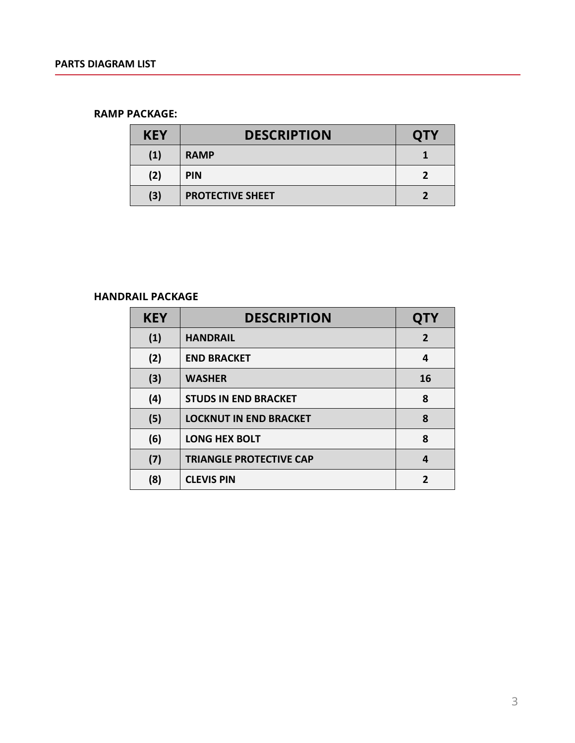#### **RAMP PACKAGE:**

| <b>KEY</b> | <b>DESCRIPTION</b>      | <b>OTY</b> |
|------------|-------------------------|------------|
| (1)        | <b>RAMP</b>             |            |
| (2)        | <b>PIN</b>              |            |
| (3)        | <b>PROTECTIVE SHEET</b> |            |

## **HANDRAIL PACKAGE**

| <b>KEY</b> | <b>DESCRIPTION</b>             | <b>QTY</b>     |
|------------|--------------------------------|----------------|
| (1)        | <b>HANDRAIL</b>                | $\overline{2}$ |
| (2)        | <b>END BRACKET</b>             | 4              |
| (3)        | <b>WASHER</b>                  | 16             |
| (4)        | <b>STUDS IN END BRACKET</b>    | 8              |
| (5)        | <b>LOCKNUT IN END BRACKET</b>  | 8              |
| (6)        | <b>LONG HEX BOLT</b>           | 8              |
| (7)        | <b>TRIANGLE PROTECTIVE CAP</b> | 4              |
| (8)        | <b>CLEVIS PIN</b>              | 2              |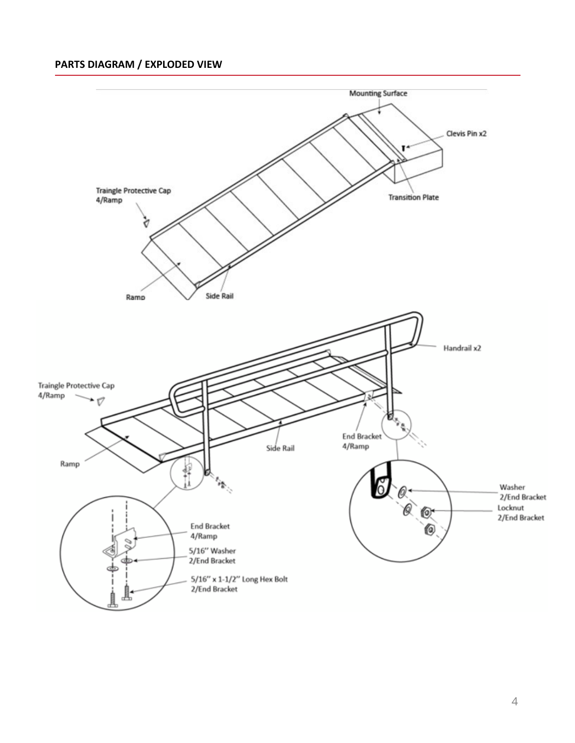# **PARTS DIAGRAM / EXPLODED VIEW**

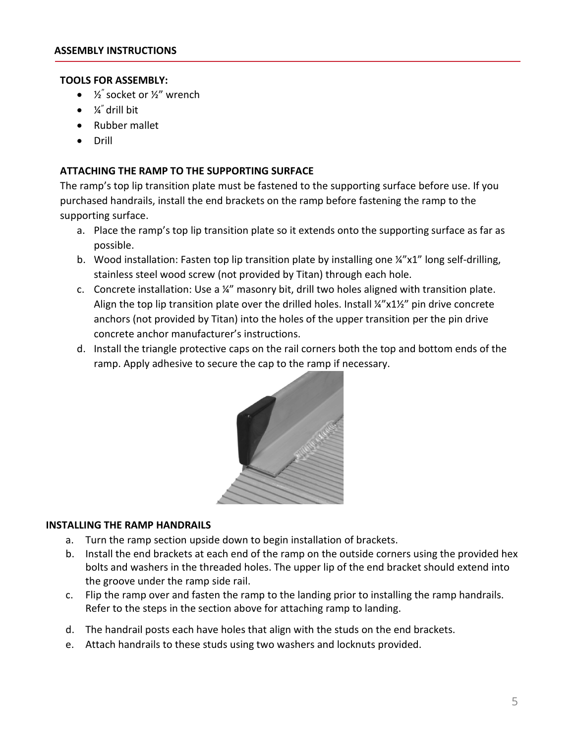#### **TOOLS FOR ASSEMBLY:**

- $\frac{1}{2}$  socket or  $\frac{1}{2}$  wrench
- $\bullet$   $\frac{1}{4}$  drill bit
- Rubber mallet
- Drill

#### **ATTACHING THE RAMP TO THE SUPPORTING SURFACE**

The ramp's top lip transition plate must be fastened to the supporting surface before use. If you purchased handrails, install the end brackets on the ramp before fastening the ramp to the supporting surface.

- a. Place the ramp's top lip transition plate so it extends onto the supporting surface as far as possible.
- b. Wood installation: Fasten top lip transition plate by installing one ¼"x1" long self-drilling, stainless steel wood screw (not provided by Titan) through each hole.
- c. Concrete installation: Use a ¼" masonry bit, drill two holes aligned with transition plate. Align the top lip transition plate over the drilled holes. Install ¼"x1½" pin drive concrete anchors (not provided by Titan) into the holes of the upper transition per the pin drive concrete anchor manufacturer's instructions.
- d. Install the triangle protective caps on the rail corners both the top and bottom ends of the ramp. Apply adhesive to secure the cap to the ramp if necessary.



#### **INSTALLING THE RAMP HANDRAILS**

- a. Turn the ramp section upside down to begin installation of brackets.
- b. Install the end brackets at each end of the ramp on the outside corners using the provided hex bolts and washers in the threaded holes. The upper lip of the end bracket should extend into the groove under the ramp side rail.
- c. Flip the ramp over and fasten the ramp to the landing prior to installing the ramp handrails. Refer to the steps in the section above for attaching ramp to landing.
- d. The handrail posts each have holes that align with the studs on the end brackets.
- e. Attach handrails to these studs using two washers and locknuts provided.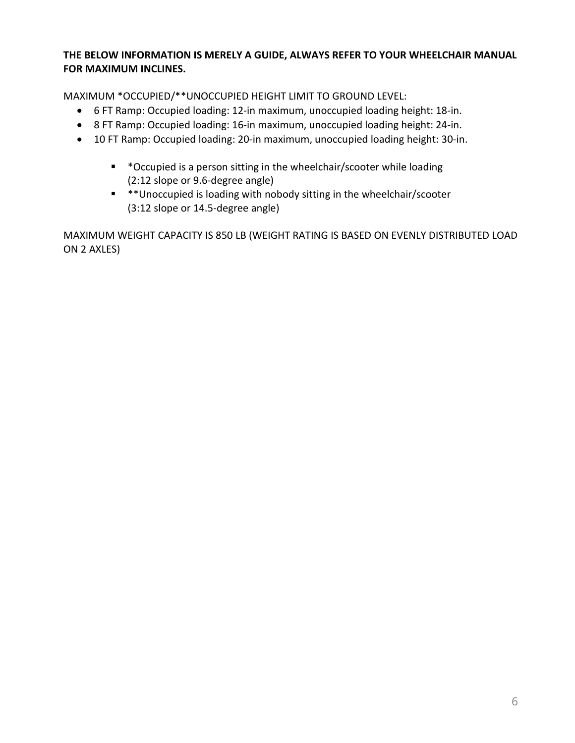## **THE BELOW INFORMATION IS MERELY A GUIDE, ALWAYS REFER TO YOUR WHEELCHAIR MANUAL FOR MAXIMUM INCLINES.**

MAXIMUM \*OCCUPIED/\*\*UNOCCUPIED HEIGHT LIMIT TO GROUND LEVEL:

- 6 FT Ramp: Occupied loading: 12-in maximum, unoccupied loading height: 18-in.
- 8 FT Ramp: Occupied loading: 16-in maximum, unoccupied loading height: 24-in.
- 10 FT Ramp: Occupied loading: 20-in maximum, unoccupied loading height: 30-in.
	- \* \*Occupied is a person sitting in the wheelchair/scooter while loading (2:12 slope or 9.6-degree angle)
	- \* \*\*Unoccupied is loading with nobody sitting in the wheelchair/scooter (3:12 slope or 14.5-degree angle)

MAXIMUM WEIGHT CAPACITY IS 850 LB (WEIGHT RATING IS BASED ON EVENLY DISTRIBUTED LOAD ON 2 AXLES)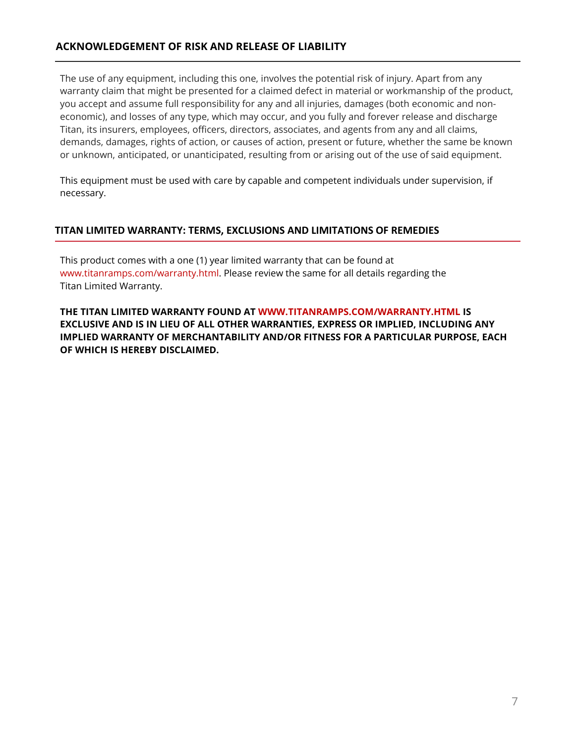## **ACKNOWLEDGEMENT OF RISK AND RELEASE OF LIABILITY**

The use of any equipment, including this one, involves the potential risk of injury. Apart from any warranty claim that might be presented for a claimed defect in material or workmanship of the product, you accept and assume full responsibility for any and all injuries, damages (both economic and noneconomic), and losses of any type, which may occur, and you fully and forever release and discharge Titan, its insurers, employees, officers, directors, associates, and agents from any and all claims, demands, damages, rights of action, or causes of action, present or future, whether the same be known or unknown, anticipated, or unanticipated, resulting from or arising out of the use of said equipment.

This equipment must be used with care by capable and competent individuals under supervision, if necessary.

#### **TITAN LIMITED WARRANTY: TERMS, EXCLUSIONS AND LIMITATIONS OF REMEDIES**

This product comes with a one (1) year limited warranty that can be found at www.titanramps.com/warranty.html. Please review the same for all details regarding the Titan Limited Warranty.

**THE TITAN LIMITED WARRANTY FOUND AT WWW.TITANRAMPS.COM/WARRANTY.HTML IS EXCLUSIVE AND IS IN LIEU OF ALL OTHER WARRANTIES, EXPRESS OR IMPLIED, INCLUDING ANY IMPLIED WARRANTY OF MERCHANTABILITY AND/OR FITNESS FOR A PARTICULAR PURPOSE, EACH OF WHICH IS HEREBY DISCLAIMED.**